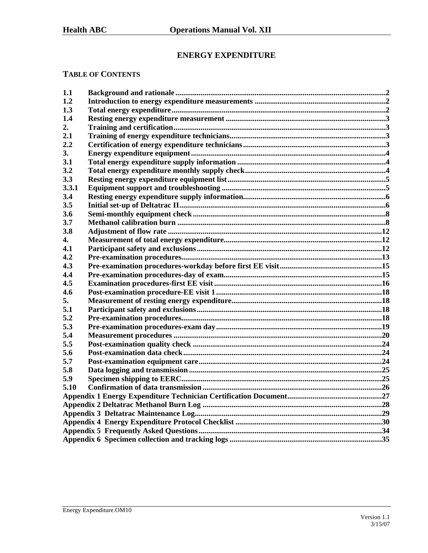# **ENERGY EXPENDITURE**

## **TABLE OF CONTENTS**

| 1.1   |  |
|-------|--|
| 1.2   |  |
| 1.3   |  |
| 1.4   |  |
| 2.    |  |
| 2.1   |  |
| 2.2   |  |
| 3.    |  |
| 3.1   |  |
| 3.2   |  |
| 3.3   |  |
| 3.3.1 |  |
| 3.4   |  |
| 3.5   |  |
| 3.6   |  |
| 3.7   |  |
| 3.8   |  |
| 4.    |  |
| 4.1   |  |
| 4.2   |  |
| 4.3   |  |
| 4.4   |  |
| 4.5   |  |
| 4.6   |  |
| 5.    |  |
| 5.1   |  |
| 5.2   |  |
| 5.3   |  |
| 5.4   |  |
| 5.5   |  |
| 5.6   |  |
| 5.7   |  |
| 5.8   |  |
| 5.9   |  |
| 5.10  |  |
|       |  |
|       |  |
|       |  |
|       |  |
|       |  |
|       |  |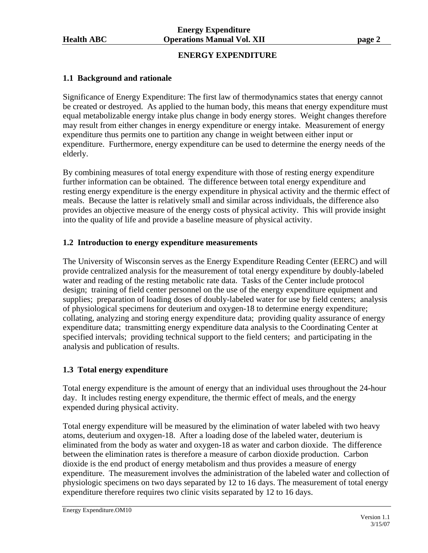## **ENERGY EXPENDITURE**

## **1.1 Background and rationale**

Significance of Energy Expenditure: The first law of thermodynamics states that energy cannot be created or destroyed. As applied to the human body, this means that energy expenditure must equal metabolizable energy intake plus change in body energy stores. Weight changes therefore may result from either changes in energy expenditure or energy intake. Measurement of energy expenditure thus permits one to partition any change in weight between either input or expenditure. Furthermore, energy expenditure can be used to determine the energy needs of the elderly.

By combining measures of total energy expenditure with those of resting energy expenditure further information can be obtained. The difference between total energy expenditure and resting energy expenditure is the energy expenditure in physical activity and the thermic effect of meals. Because the latter is relatively small and similar across individuals, the difference also provides an objective measure of the energy costs of physical activity. This will provide insight into the quality of life and provide a baseline measure of physical activity.

### **1.2 Introduction to energy expenditure measurements**

The University of Wisconsin serves as the Energy Expenditure Reading Center (EERC) and will provide centralized analysis for the measurement of total energy expenditure by doubly-labeled water and reading of the resting metabolic rate data. Tasks of the Center include protocol design; training of field center personnel on the use of the energy expenditure equipment and supplies; preparation of loading doses of doubly-labeled water for use by field centers; analysis of physiological specimens for deuterium and oxygen-18 to determine energy expenditure; collating, analyzing and storing energy expenditure data; providing quality assurance of energy expenditure data; transmitting energy expenditure data analysis to the Coordinating Center at specified intervals; providing technical support to the field centers; and participating in the analysis and publication of results.

### **1.3 Total energy expenditure**

Total energy expenditure is the amount of energy that an individual uses throughout the 24-hour day. It includes resting energy expenditure, the thermic effect of meals, and the energy expended during physical activity.

Total energy expenditure will be measured by the elimination of water labeled with two heavy atoms, deuterium and oxygen-18. After a loading dose of the labeled water, deuterium is eliminated from the body as water and oxygen-18 as water and carbon dioxide. The difference between the elimination rates is therefore a measure of carbon dioxide production. Carbon dioxide is the end product of energy metabolism and thus provides a measure of energy expenditure. The measurement involves the administration of the labeled water and collection of physiologic specimens on two days separated by 12 to 16 days. The measurement of total energy expenditure therefore requires two clinic visits separated by 12 to 16 days.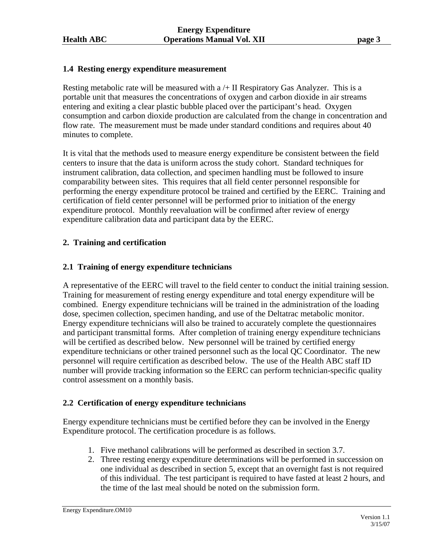## **1.4 Resting energy expenditure measurement**

Resting metabolic rate will be measured with  $a + II$  Respiratory Gas Analyzer. This is a portable unit that measures the concentrations of oxygen and carbon dioxide in air streams entering and exiting a clear plastic bubble placed over the participant's head. Oxygen consumption and carbon dioxide production are calculated from the change in concentration and flow rate. The measurement must be made under standard conditions and requires about 40 minutes to complete.

It is vital that the methods used to measure energy expenditure be consistent between the field centers to insure that the data is uniform across the study cohort. Standard techniques for instrument calibration, data collection, and specimen handling must be followed to insure comparability between sites. This requires that all field center personnel responsible for performing the energy expenditure protocol be trained and certified by the EERC. Training and certification of field center personnel will be performed prior to initiation of the energy expenditure protocol. Monthly reevaluation will be confirmed after review of energy expenditure calibration data and participant data by the EERC.

## **2. Training and certification**

## **2.1 Training of energy expenditure technicians**

A representative of the EERC will travel to the field center to conduct the initial training session. Training for measurement of resting energy expenditure and total energy expenditure will be combined. Energy expenditure technicians will be trained in the administration of the loading dose, specimen collection, specimen handing, and use of the Deltatrac metabolic monitor. Energy expenditure technicians will also be trained to accurately complete the questionnaires and participant transmittal forms. After completion of training energy expenditure technicians will be certified as described below. New personnel will be trained by certified energy expenditure technicians or other trained personnel such as the local QC Coordinator. The new personnel will require certification as described below. The use of the Health ABC staff ID number will provide tracking information so the EERC can perform technician-specific quality control assessment on a monthly basis.

## **2.2 Certification of energy expenditure technicians**

Energy expenditure technicians must be certified before they can be involved in the Energy Expenditure protocol. The certification procedure is as follows.

- 1. Five methanol calibrations will be performed as described in section 3.7.
- 2. Three resting energy expenditure determinations will be performed in succession on one individual as described in section 5, except that an overnight fast is not required of this individual. The test participant is required to have fasted at least 2 hours, and the time of the last meal should be noted on the submission form.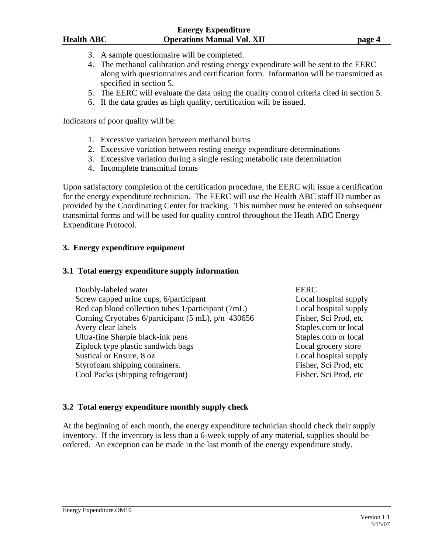#### **Energy Expenditure Health ABC Operations Manual Vol. XII page 4**

- 3. A sample questionnaire will be completed.
- 4. The methanol calibration and resting energy expenditure will be sent to the EERC along with questionnaires and certification form. Information will be transmitted as specified in section 5.
- 5. The EERC will evaluate the data using the quality control criteria cited in section 5.
- 6. If the data grades as high quality, certification will be issued.

Indicators of poor quality will be:

- 1. Excessive variation between methanol burns
- 2. Excessive variation between resting energy expenditure determinations
- 3. Excessive variation during a single resting metabolic rate determination
- 4. Incomplete transmittal forms

Upon satisfactory completion of the certification procedure, the EERC will issue a certification for the energy expenditure technician. The EERC will use the Health ABC staff ID number as provided by the Coordinating Center for tracking. This number must be entered on subsequent transmittal forms and will be used for quality control throughout the Heath ABC Energy Expenditure Protocol.

## **3. Energy expenditure equipment**

### **3.1 Total energy expenditure supply information**

| Doubly-labeled water                               | <b>EERC</b>           |
|----------------------------------------------------|-----------------------|
| Screw capped urine cups, 6/participant             | Local hospital supply |
| Red cap blood collection tubes 1/participant (7mL) | Local hospital supply |
| Corning Cryotubes 6/participant (5 mL), p/n 430656 | Fisher, Sci Prod, etc |
| Avery clear labels                                 | Staples.com or local  |
| Ultra-fine Sharpie black-ink pens                  | Staples.com or local  |
| Ziplock type plastic sandwich bags                 | Local grocery store   |
| Sustical or Ensure, 8 oz                           | Local hospital supply |
| Styrofoam shipping containers.                     | Fisher, Sci Prod, etc |
| Cool Packs (shipping refrigerant)                  | Fisher, Sci Prod, etc |

## **3.2 Total energy expenditure monthly supply check**

At the beginning of each month, the energy expenditure technician should check their supply inventory. If the inventory is less than a 6-week supply of any material, supplies should be ordered. An exception can be made in the last month of the energy expenditure study.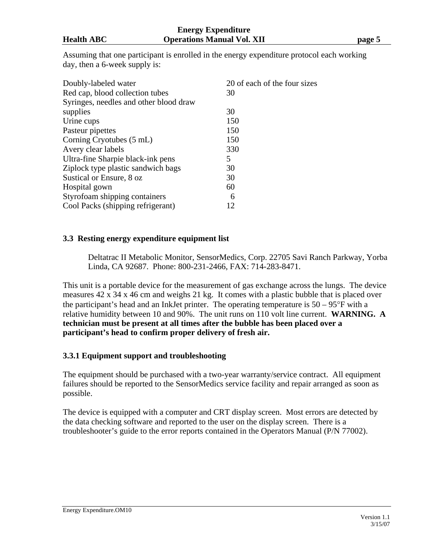Assuming that one participant is enrolled in the energy expenditure protocol each working day, then a 6-week supply is:

| Doubly-labeled water                   | 20 of each of the four sizes |
|----------------------------------------|------------------------------|
| Red cap, blood collection tubes        | 30                           |
| Syringes, needles and other blood draw |                              |
| supplies                               | 30                           |
| Urine cups                             | 150                          |
| Pasteur pipettes                       | 150                          |
| Corning Cryotubes (5 mL)               | 150                          |
| Avery clear labels                     | 330                          |
| Ultra-fine Sharpie black-ink pens      | 5                            |
| Ziplock type plastic sandwich bags     | 30                           |
| Sustical or Ensure, 8 oz               | 30                           |
| Hospital gown                          | 60                           |
| Styrofoam shipping containers          | 6                            |
| Cool Packs (shipping refrigerant)      | 12                           |

## **3.3 Resting energy expenditure equipment list**

 Deltatrac II Metabolic Monitor, SensorMedics, Corp. 22705 Savi Ranch Parkway, Yorba Linda, CA 92687. Phone: 800-231-2466, FAX: 714-283-8471.

This unit is a portable device for the measurement of gas exchange across the lungs. The device measures 42 x 34 x 46 cm and weighs 21 kg. It comes with a plastic bubble that is placed over the participant's head and an InkJet printer. The operating temperature is  $50 - 95^{\circ}$ F with a relative humidity between 10 and 90%. The unit runs on 110 volt line current. **WARNING. A technician must be present at all times after the bubble has been placed over a participant's head to confirm proper delivery of fresh air.** 

## **3.3.1 Equipment support and troubleshooting**

The equipment should be purchased with a two-year warranty/service contract. All equipment failures should be reported to the SensorMedics service facility and repair arranged as soon as possible.

The device is equipped with a computer and CRT display screen. Most errors are detected by the data checking software and reported to the user on the display screen. There is a troubleshooter's guide to the error reports contained in the Operators Manual (P/N 77002).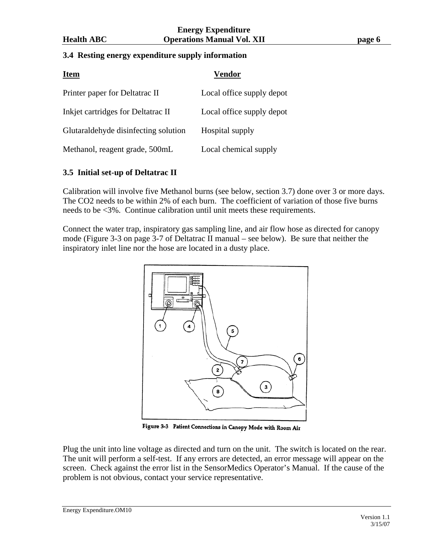#### **Energy Expenditure Health ABC Operations Manual Vol. XII page 6**

## **3.4 Resting energy expenditure supply information**

| <b>Item</b>                          | Vendor                    |
|--------------------------------------|---------------------------|
| Printer paper for Deltatrac II       | Local office supply depot |
| Inkjet cartridges for Deltatrac II   | Local office supply depot |
| Glutaraldehyde disinfecting solution | Hospital supply           |
| Methanol, reagent grade, 500mL       | Local chemical supply     |

## **3.5 Initial set-up of Deltatrac II**

Calibration will involve five Methanol burns (see below, section 3.7) done over 3 or more days. The CO2 needs to be within 2% of each burn. The coefficient of variation of those five burns needs to be <3%. Continue calibration until unit meets these requirements.

Connect the water trap, inspiratory gas sampling line, and air flow hose as directed for canopy mode (Figure 3-3 on page 3-7 of Deltatrac II manual – see below). Be sure that neither the inspiratory inlet line nor the hose are located in a dusty place.



Figure 3-3 Patient Connections in Canopy Mode with Room Air

Plug the unit into line voltage as directed and turn on the unit. The switch is located on the rear. The unit will perform a self-test. If any errors are detected, an error message will appear on the screen. Check against the error list in the SensorMedics Operator's Manual. If the cause of the problem is not obvious, contact your service representative.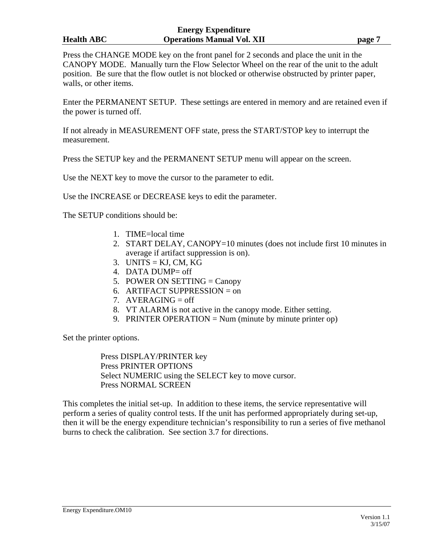#### **Energy Expenditure Health ABC Operations Manual Vol. XII page 7**

Press the CHANGE MODE key on the front panel for 2 seconds and place the unit in the CANOPY MODE. Manually turn the Flow Selector Wheel on the rear of the unit to the adult position. Be sure that the flow outlet is not blocked or otherwise obstructed by printer paper, walls, or other items.

Enter the PERMANENT SETUP. These settings are entered in memory and are retained even if the power is turned off.

If not already in MEASUREMENT OFF state, press the START/STOP key to interrupt the measurement.

Press the SETUP key and the PERMANENT SETUP menu will appear on the screen.

Use the NEXT key to move the cursor to the parameter to edit.

Use the INCREASE or DECREASE keys to edit the parameter.

The SETUP conditions should be:

- 1. TIME=local time
- 2. START DELAY, CANOPY=10 minutes (does not include first 10 minutes in average if artifact suppression is on).
- 3. UNITS =  $KJ$ , CM, KG
- 4. DATA DUMP= off
- 5. POWER ON SETTING  $=$  Canopy
- 6. ARTIFACT SUPPRESSION  $=$  on
- 7.  $AVERAGING = off$
- 8. VT ALARM is not active in the canopy mode. Either setting.
- 9. PRINTER OPERATION = Num (minute by minute printer op)

Set the printer options.

 Press DISPLAY/PRINTER key Press PRINTER OPTIONS Select NUMERIC using the SELECT key to move cursor. Press NORMAL SCREEN

This completes the initial set-up. In addition to these items, the service representative will perform a series of quality control tests. If the unit has performed appropriately during set-up, then it will be the energy expenditure technician's responsibility to run a series of five methanol burns to check the calibration. See section 3.7 for directions.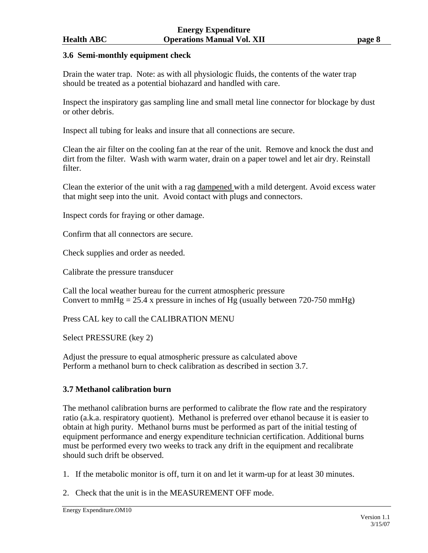## **3.6 Semi-monthly equipment check**

Drain the water trap. Note: as with all physiologic fluids, the contents of the water trap should be treated as a potential biohazard and handled with care.

Inspect the inspiratory gas sampling line and small metal line connector for blockage by dust or other debris.

Inspect all tubing for leaks and insure that all connections are secure.

Clean the air filter on the cooling fan at the rear of the unit. Remove and knock the dust and dirt from the filter. Wash with warm water, drain on a paper towel and let air dry. Reinstall filter.

Clean the exterior of the unit with a rag dampened with a mild detergent. Avoid excess water that might seep into the unit. Avoid contact with plugs and connectors.

Inspect cords for fraying or other damage.

Confirm that all connectors are secure.

Check supplies and order as needed.

Calibrate the pressure transducer

Call the local weather bureau for the current atmospheric pressure Convert to mmHg = 25.4 x pressure in inches of Hg (usually between 720-750 mmHg)

Press CAL key to call the CALIBRATION MENU

Select PRESSURE (key 2)

Adjust the pressure to equal atmospheric pressure as calculated above Perform a methanol burn to check calibration as described in section 3.7.

## **3.7 Methanol calibration burn**

The methanol calibration burns are performed to calibrate the flow rate and the respiratory ratio (a.k.a. respiratory quotient). Methanol is preferred over ethanol because it is easier to obtain at high purity. Methanol burns must be performed as part of the initial testing of equipment performance and energy expenditure technician certification. Additional burns must be performed every two weeks to track any drift in the equipment and recalibrate should such drift be observed.

1. If the metabolic monitor is off, turn it on and let it warm-up for at least 30 minutes.

2. Check that the unit is in the MEASUREMENT OFF mode.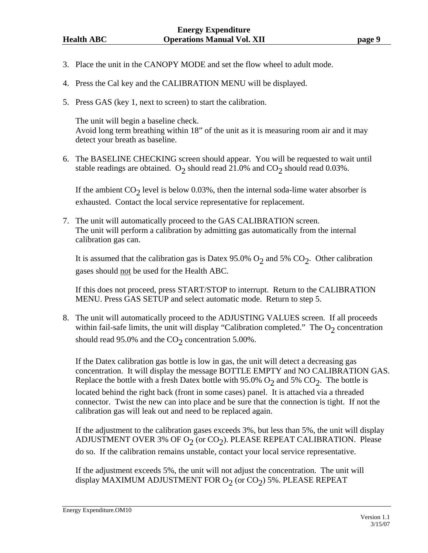- 3. Place the unit in the CANOPY MODE and set the flow wheel to adult mode.
- 4. Press the Cal key and the CALIBRATION MENU will be displayed.
- 5. Press GAS (key 1, next to screen) to start the calibration.

 The unit will begin a baseline check. Avoid long term breathing within 18" of the unit as it is measuring room air and it may detect your breath as baseline.

6. The BASELINE CHECKING screen should appear. You will be requested to wait until stable readings are obtained. O<sub>2</sub> should read 21.0% and  $CO_2$  should read 0.03%.

If the ambient  $CO_2$  level is below 0.03%, then the internal soda-lime water absorber is exhausted. Contact the local service representative for replacement.

7. The unit will automatically proceed to the GAS CALIBRATION screen. The unit will perform a calibration by admitting gas automatically from the internal calibration gas can.

It is assumed that the calibration gas is Datex 95.0%  $O_2$  and 5%  $CO_2$ . Other calibration gases should not be used for the Health ABC.

 If this does not proceed, press START/STOP to interrupt. Return to the CALIBRATION MENU. Press GAS SETUP and select automatic mode. Return to step 5.

8. The unit will automatically proceed to the ADJUSTING VALUES screen. If all proceeds within fail-safe limits, the unit will display "Calibration completed." The  $O_2$  concentration should read 95.0% and the  $CO<sub>2</sub>$  concentration 5.00%.

 If the Datex calibration gas bottle is low in gas, the unit will detect a decreasing gas concentration. It will display the message BOTTLE EMPTY and NO CALIBRATION GAS. Replace the bottle with a fresh Datex bottle with 95.0%  $O_2$  and 5%  $CO_2$ . The bottle is

located behind the right back (front in some cases) panel. It is attached via a threaded connector. Twist the new can into place and be sure that the connection is tight. If not the calibration gas will leak out and need to be replaced again.

 If the adjustment to the calibration gases exceeds 3%, but less than 5%, the unit will display ADJUSTMENT OVER 3% OF  $O_2$  (or  $CO_2$ ). PLEASE REPEAT CALIBRATION. Please do so. If the calibration remains unstable, contact your local service representative.

 If the adjustment exceeds 5%, the unit will not adjust the concentration. The unit will display MAXIMUM ADJUSTMENT FOR  $O_2$  (or  $CO_2$ ) 5%. PLEASE REPEAT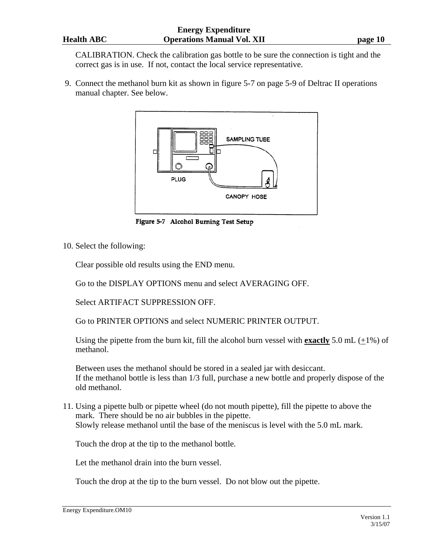CALIBRATION. Check the calibration gas bottle to be sure the connection is tight and the correct gas is in use. If not, contact the local service representative.

 9. Connect the methanol burn kit as shown in figure 5-7 on page 5-9 of Deltrac II operations manual chapter. See below.



Figure 5-7 Alcohol Burning Test Setup

10. Select the following:

Clear possible old results using the END menu.

Go to the DISPLAY OPTIONS menu and select AVERAGING OFF.

Select ARTIFACT SUPPRESSION OFF.

Go to PRINTER OPTIONS and select NUMERIC PRINTER OUTPUT.

Using the pipette from the burn kit, fill the alcohol burn vessel with **exactly** 5.0 mL  $(+1\%)$  of methanol.

 Between uses the methanol should be stored in a sealed jar with desiccant. If the methanol bottle is less than 1/3 full, purchase a new bottle and properly dispose of the old methanol.

11. Using a pipette bulb or pipette wheel (do not mouth pipette), fill the pipette to above the mark. There should be no air bubbles in the pipette. Slowly release methanol until the base of the meniscus is level with the 5.0 mL mark.

Touch the drop at the tip to the methanol bottle.

Let the methanol drain into the burn vessel.

Touch the drop at the tip to the burn vessel. Do not blow out the pipette.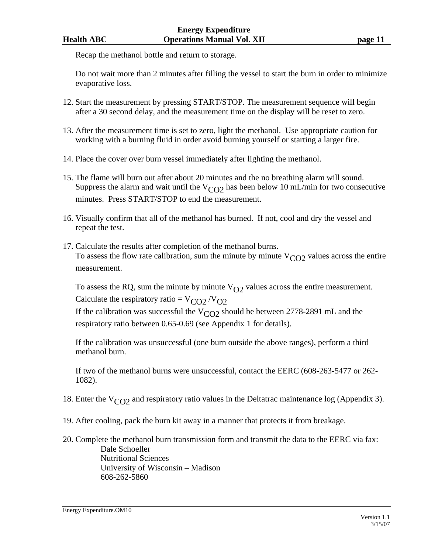Recap the methanol bottle and return to storage.

 Do not wait more than 2 minutes after filling the vessel to start the burn in order to minimize evaporative loss.

- 12. Start the measurement by pressing START/STOP. The measurement sequence will begin after a 30 second delay, and the measurement time on the display will be reset to zero.
- 13. After the measurement time is set to zero, light the methanol. Use appropriate caution for working with a burning fluid in order avoid burning yourself or starting a larger fire.
- 14. Place the cover over burn vessel immediately after lighting the methanol.
- 15. The flame will burn out after about 20 minutes and the no breathing alarm will sound. Suppress the alarm and wait until the  $V_{CO2}$  has been below 10 mL/min for two consecutive minutes. Press START/STOP to end the measurement.
- 16. Visually confirm that all of the methanol has burned. If not, cool and dry the vessel and repeat the test.
- 17. Calculate the results after completion of the methanol burns. To assess the flow rate calibration, sum the minute by minute  $V_{CO2}$  values across the entire measurement.

To assess the RQ, sum the minute by minute  $V_{O2}$  values across the entire measurement. Calculate the respiratory ratio =  $V_{CO2} / V_{O2}$ If the calibration was successful the  $V_{CO2}$  should be between 2778-2891 mL and the respiratory ratio between 0.65-0.69 (see Appendix 1 for details).

 If the calibration was unsuccessful (one burn outside the above ranges), perform a third methanol burn.

 If two of the methanol burns were unsuccessful, contact the EERC (608-263-5477 or 262- 1082).

- 18. Enter the  $V_{CO2}$  and respiratory ratio values in the Deltatrac maintenance log (Appendix 3).
- 19. After cooling, pack the burn kit away in a manner that protects it from breakage.
- 20. Complete the methanol burn transmission form and transmit the data to the EERC via fax: Dale Schoeller Nutritional Sciences University of Wisconsin – Madison 608-262-5860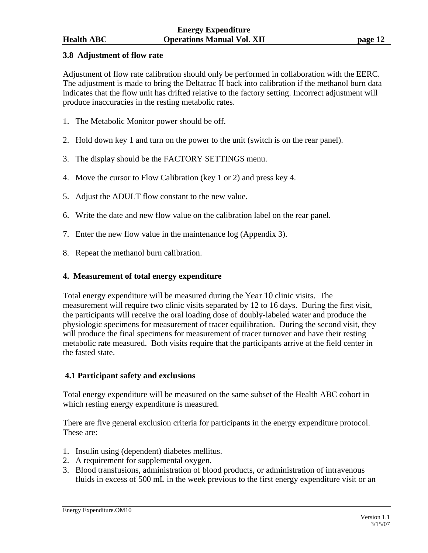## **3.8 Adjustment of flow rate**

Adjustment of flow rate calibration should only be performed in collaboration with the EERC. The adjustment is made to bring the Deltatrac II back into calibration if the methanol burn data indicates that the flow unit has drifted relative to the factory setting. Incorrect adjustment will produce inaccuracies in the resting metabolic rates.

- 1. The Metabolic Monitor power should be off.
- 2. Hold down key 1 and turn on the power to the unit (switch is on the rear panel).
- 3. The display should be the FACTORY SETTINGS menu.
- 4. Move the cursor to Flow Calibration (key 1 or 2) and press key 4.
- 5. Adjust the ADULT flow constant to the new value.
- 6. Write the date and new flow value on the calibration label on the rear panel.
- 7. Enter the new flow value in the maintenance log (Appendix 3).
- 8. Repeat the methanol burn calibration.

## **4. Measurement of total energy expenditure**

Total energy expenditure will be measured during the Year 10 clinic visits. The measurement will require two clinic visits separated by 12 to 16 days. During the first visit, the participants will receive the oral loading dose of doubly-labeled water and produce the physiologic specimens for measurement of tracer equilibration. During the second visit, they will produce the final specimens for measurement of tracer turnover and have their resting metabolic rate measured. Both visits require that the participants arrive at the field center in the fasted state.

### **4.1 Participant safety and exclusions**

Total energy expenditure will be measured on the same subset of the Health ABC cohort in which resting energy expenditure is measured.

There are five general exclusion criteria for participants in the energy expenditure protocol. These are:

- 1. Insulin using (dependent) diabetes mellitus.
- 2. A requirement for supplemental oxygen.
- 3. Blood transfusions, administration of blood products, or administration of intravenous fluids in excess of 500 mL in the week previous to the first energy expenditure visit or an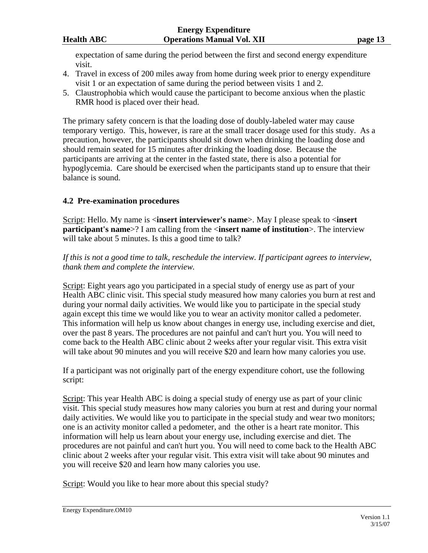expectation of same during the period between the first and second energy expenditure visit.

- 4. Travel in excess of 200 miles away from home during week prior to energy expenditure visit 1 or an expectation of same during the period between visits 1 and 2.
- 5. Claustrophobia which would cause the participant to become anxious when the plastic RMR hood is placed over their head.

The primary safety concern is that the loading dose of doubly-labeled water may cause temporary vertigo. This, however, is rare at the small tracer dosage used for this study. As a precaution, however, the participants should sit down when drinking the loading dose and should remain seated for 15 minutes after drinking the loading dose. Because the participants are arriving at the center in the fasted state, there is also a potential for hypoglycemia. Care should be exercised when the participants stand up to ensure that their balance is sound.

## **4.2 Pre-examination procedures**

Script: Hello. My name is <**insert interviewer's name**>. May I please speak to <**insert participant's name**>? I am calling from the <**insert name of institution**>. The interview will take about 5 minutes. Is this a good time to talk?

*If this is not a good time to talk, reschedule the interview. If participant agrees to interview, thank them and complete the interview.* 

Script: Eight years ago you participated in a special study of energy use as part of your Health ABC clinic visit. This special study measured how many calories you burn at rest and during your normal daily activities. We would like you to participate in the special study again except this time we would like you to wear an activity monitor called a pedometer. This information will help us know about changes in energy use, including exercise and diet, over the past 8 years. The procedures are not painful and can't hurt you. You will need to come back to the Health ABC clinic about 2 weeks after your regular visit. This extra visit will take about 90 minutes and you will receive \$20 and learn how many calories you use.

If a participant was not originally part of the energy expenditure cohort, use the following script:

Script: This year Health ABC is doing a special study of energy use as part of your clinic visit. This special study measures how many calories you burn at rest and during your normal daily activities. We would like you to participate in the special study and wear two monitors; one is an activity monitor called a pedometer, and the other is a heart rate monitor. This information will help us learn about your energy use, including exercise and diet. The procedures are not painful and can't hurt you. You will need to come back to the Health ABC clinic about 2 weeks after your regular visit. This extra visit will take about 90 minutes and you will receive \$20 and learn how many calories you use.

Script: Would you like to hear more about this special study?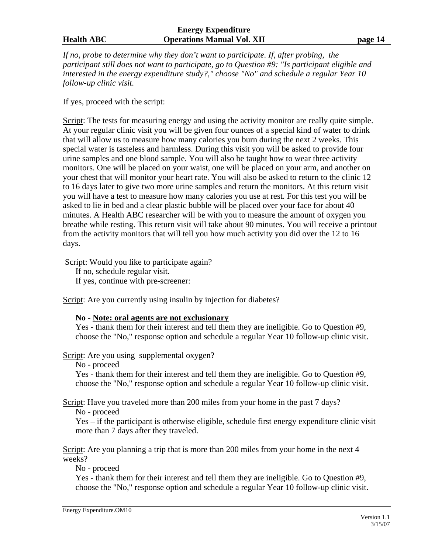#### **Energy Expenditure Health ABC Operations Manual Vol. XII page 14**

*If no, probe to determine why they don't want to participate. If, after probing, the participant still does not want to participate, go to Question #9: "Is participant eligible and interested in the energy expenditure study?," choose "No" and schedule a regular Year 10 follow-up clinic visit.* 

If yes, proceed with the script:

Script: The tests for measuring energy and using the activity monitor are really quite simple. At your regular clinic visit you will be given four ounces of a special kind of water to drink that will allow us to measure how many calories you burn during the next 2 weeks. This special water is tasteless and harmless. During this visit you will be asked to provide four urine samples and one blood sample. You will also be taught how to wear three activity monitors. One will be placed on your waist, one will be placed on your arm, and another on your chest that will monitor your heart rate. You will also be asked to return to the clinic 12 to 16 days later to give two more urine samples and return the monitors. At this return visit you will have a test to measure how many calories you use at rest. For this test you will be asked to lie in bed and a clear plastic bubble will be placed over your face for about 40 minutes. A Health ABC researcher will be with you to measure the amount of oxygen you breathe while resting. This return visit will take about 90 minutes. You will receive a printout from the activity monitors that will tell you how much activity you did over the 12 to 16 days.

Script: Would you like to participate again?

 If no, schedule regular visit. If yes, continue with pre-screener:

Script: Are you currently using insulin by injection for diabetes?

#### **No - Note: oral agents are not exclusionary**

Yes - thank them for their interest and tell them they are ineligible. Go to Question #9, choose the "No," response option and schedule a regular Year 10 follow-up clinic visit.

Script: Are you using supplemental oxygen?

No - proceed

Yes - thank them for their interest and tell them they are ineligible. Go to Question #9, choose the "No," response option and schedule a regular Year 10 follow-up clinic visit.

Script: Have you traveled more than 200 miles from your home in the past 7 days? No - proceed

Yes – if the participant is otherwise eligible, schedule first energy expenditure clinic visit more than 7 days after they traveled.

Script: Are you planning a trip that is more than 200 miles from your home in the next 4 weeks?

No - proceed

Yes - thank them for their interest and tell them they are ineligible. Go to Question #9, choose the "No," response option and schedule a regular Year 10 follow-up clinic visit.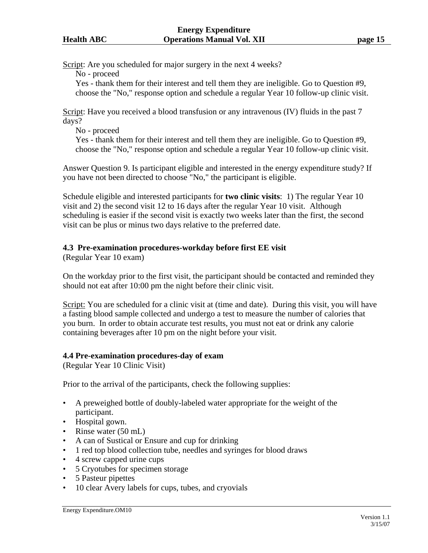Script: Are you scheduled for major surgery in the next 4 weeks?

No - proceed

Yes - thank them for their interest and tell them they are ineligible. Go to Question #9, choose the "No," response option and schedule a regular Year 10 follow-up clinic visit.

Script: Have you received a blood transfusion or any intravenous (IV) fluids in the past 7 days?

No - proceed

Yes - thank them for their interest and tell them they are ineligible. Go to Question #9, choose the "No," response option and schedule a regular Year 10 follow-up clinic visit.

Answer Question 9. Is participant eligible and interested in the energy expenditure study? If you have not been directed to choose "No," the participant is eligible.

Schedule eligible and interested participants for **two clinic visits**: 1) The regular Year 10 visit and 2) the second visit 12 to 16 days after the regular Year 10 visit. Although scheduling is easier if the second visit is exactly two weeks later than the first, the second visit can be plus or minus two days relative to the preferred date.

## **4.3 Pre-examination procedures-workday before first EE visit**

(Regular Year 10 exam)

On the workday prior to the first visit, the participant should be contacted and reminded they should not eat after 10:00 pm the night before their clinic visit.

Script: You are scheduled for a clinic visit at (time and date). During this visit, you will have a fasting blood sample collected and undergo a test to measure the number of calories that you burn. In order to obtain accurate test results, you must not eat or drink any calorie containing beverages after 10 pm on the night before your visit.

## **4.4 Pre-examination procedures-day of exam**

(Regular Year 10 Clinic Visit)

Prior to the arrival of the participants, check the following supplies:

- A preweighed bottle of doubly-labeled water appropriate for the weight of the participant.
- Hospital gown.
- Rinse water (50 mL)
- A can of Sustical or Ensure and cup for drinking
- 1 red top blood collection tube, needles and syringes for blood draws
- 4 screw capped urine cups
- 5 Cryotubes for specimen storage
- 5 Pasteur pipettes
- 10 clear Avery labels for cups, tubes, and cryovials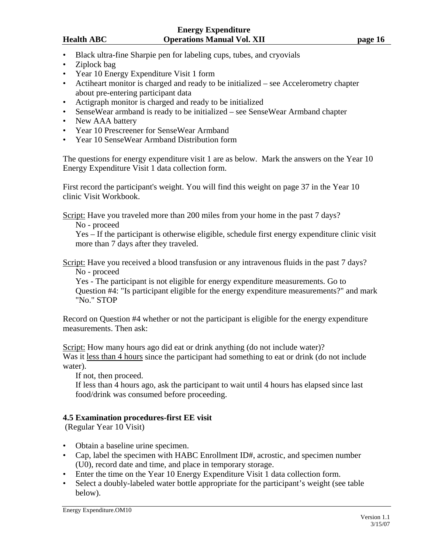- Black ultra-fine Sharpie pen for labeling cups, tubes, and cryovials
- Ziplock bag
- Year 10 Energy Expenditure Visit 1 form
- Actiheart monitor is charged and ready to be initialized see Accelerometry chapter about pre-entering participant data
- Actigraph monitor is charged and ready to be initialized
- SenseWear armband is ready to be initialized see SenseWear Armband chapter
- New AAA battery
- Year 10 Prescreener for SenseWear Armband
- Year 10 SenseWear Armband Distribution form

The questions for energy expenditure visit 1 are as below. Mark the answers on the Year 10 Energy Expenditure Visit 1 data collection form.

First record the participant's weight. You will find this weight on page 37 in the Year 10 clinic Visit Workbook.

Script: Have you traveled more than 200 miles from your home in the past 7 days?

No - proceed

Yes – If the participant is otherwise eligible, schedule first energy expenditure clinic visit more than 7 days after they traveled.

Script: Have you received a blood transfusion or any intravenous fluids in the past 7 days? No - proceed

Yes - The participant is not eligible for energy expenditure measurements. Go to Question #4: "Is participant eligible for the energy expenditure measurements?" and mark "No." STOP

Record on Question #4 whether or not the participant is eligible for the energy expenditure measurements. Then ask:

Script: How many hours ago did eat or drink anything (do not include water)? Was it less than 4 hours since the participant had something to eat or drink (do not include water).

If not, then proceed.

If less than 4 hours ago, ask the participant to wait until 4 hours has elapsed since last food/drink was consumed before proceeding.

### **4.5 Examination procedures-first EE visit**

(Regular Year 10 Visit)

- Obtain a baseline urine specimen.
- Cap, label the specimen with HABC Enrollment ID#, acrostic, and specimen number (U0), record date and time, and place in temporary storage.
- Enter the time on the Year 10 Energy Expenditure Visit 1 data collection form.
- Select a doubly-labeled water bottle appropriate for the participant's weight (see table below).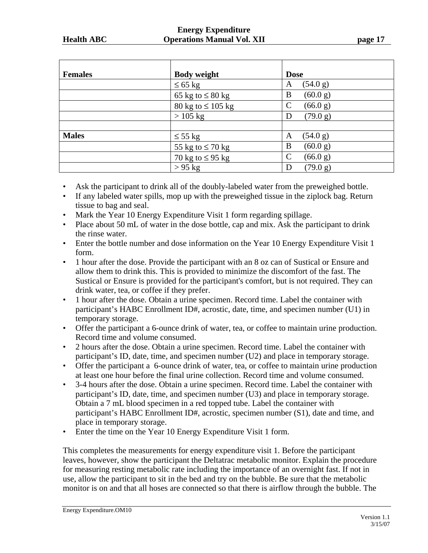#### **Energy Expenditure Health ABC Operations Manual Vol. XII page 17 page 17**

| <b>Females</b> | <b>Body weight</b>     | <b>Dose</b>   |
|----------------|------------------------|---------------|
|                | $\leq 65$ kg           | (54.0 g)<br>A |
|                | 65 kg to $\leq 80$ kg  | (60.0 g)<br>B |
|                | 80 kg to $\leq 105$ kg | (66.0 g)<br>C |
|                | $>105$ kg              | (79.0 g)<br>Ð |
|                |                        |               |
| <b>Males</b>   | $\leq 55$ kg           | (54.0 g)<br>A |
|                | 55 kg to $\leq$ 70 kg  | (60.0 g)<br>B |
|                | 70 kg to $\leq$ 95 kg  | (66.0 g)<br>C |
|                | $> 95$ kg              | (79.0 g)      |

- Ask the participant to drink all of the doubly-labeled water from the preweighed bottle.
- If any labeled water spills, mop up with the preweighed tissue in the ziplock bag. Return tissue to bag and seal.
- Mark the Year 10 Energy Expenditure Visit 1 form regarding spillage.
- Place about 50 mL of water in the dose bottle, cap and mix. Ask the participant to drink the rinse water.
- Enter the bottle number and dose information on the Year 10 Energy Expenditure Visit 1 form.
- 1 hour after the dose. Provide the participant with an 8 oz can of Sustical or Ensure and allow them to drink this. This is provided to minimize the discomfort of the fast. The Sustical or Ensure is provided for the participant's comfort, but is not required. They can drink water, tea, or coffee if they prefer.
- 1 hour after the dose. Obtain a urine specimen. Record time. Label the container with participant's HABC Enrollment ID#, acrostic, date, time, and specimen number (U1) in temporary storage.
- Offer the participant a 6-ounce drink of water, tea, or coffee to maintain urine production. Record time and volume consumed.
- 2 hours after the dose. Obtain a urine specimen. Record time. Label the container with participant's ID, date, time, and specimen number (U2) and place in temporary storage.
- Offer the participant a 6-ounce drink of water, tea, or coffee to maintain urine production at least one hour before the final urine collection. Record time and volume consumed.
- 3-4 hours after the dose. Obtain a urine specimen. Record time. Label the container with participant's ID, date, time, and specimen number (U3) and place in temporary storage. Obtain a 7 mL blood specimen in a red topped tube. Label the container with participant's HABC Enrollment ID#, acrostic, specimen number (S1), date and time, and place in temporary storage.
- Enter the time on the Year 10 Energy Expenditure Visit 1 form.

This completes the measurements for energy expenditure visit 1. Before the participant leaves, however, show the participant the Deltatrac metabolic monitor. Explain the procedure for measuring resting metabolic rate including the importance of an overnight fast. If not in use, allow the participant to sit in the bed and try on the bubble. Be sure that the metabolic monitor is on and that all hoses are connected so that there is airflow through the bubble. The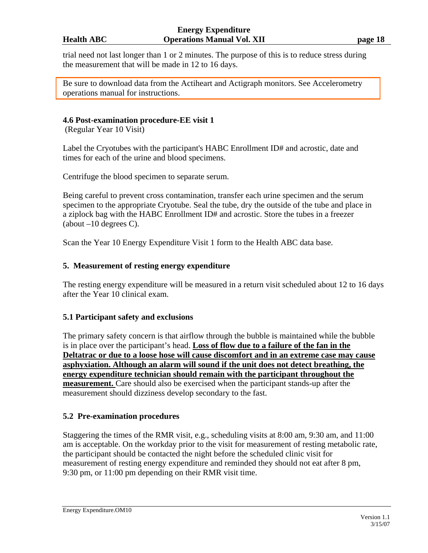trial need not last longer than 1 or 2 minutes. The purpose of this is to reduce stress during the measurement that will be made in 12 to 16 days.

Be sure to download data from the Actiheart and Actigraph monitors. See Accelerometry operations manual for instructions.

## **4.6 Post-examination procedure-EE visit 1**

(Regular Year 10 Visit)

Label the Cryotubes with the participant's HABC Enrollment ID# and acrostic, date and times for each of the urine and blood specimens.

Centrifuge the blood specimen to separate serum.

Being careful to prevent cross contamination, transfer each urine specimen and the serum specimen to the appropriate Cryotube. Seal the tube, dry the outside of the tube and place in a ziplock bag with the HABC Enrollment ID# and acrostic. Store the tubes in a freezer (about  $-10$  degrees C).

Scan the Year 10 Energy Expenditure Visit 1 form to the Health ABC data base.

### **5. Measurement of resting energy expenditure**

The resting energy expenditure will be measured in a return visit scheduled about 12 to 16 days after the Year 10 clinical exam.

### **5.1 Participant safety and exclusions**

The primary safety concern is that airflow through the bubble is maintained while the bubble is in place over the participant's head. **Loss of flow due to a failure of the fan in the Deltatrac or due to a loose hose will cause discomfort and in an extreme case may cause asphyxiation. Although an alarm will sound if the unit does not detect breathing, the energy expenditure technician should remain with the participant throughout the measurement.** Care should also be exercised when the participant stands-up after the measurement should dizziness develop secondary to the fast.

### **5.2 Pre-examination procedures**

Staggering the times of the RMR visit, e.g., scheduling visits at 8:00 am, 9:30 am, and 11:00 am is acceptable. On the workday prior to the visit for measurement of resting metabolic rate, the participant should be contacted the night before the scheduled clinic visit for measurement of resting energy expenditure and reminded they should not eat after 8 pm, 9:30 pm, or 11:00 pm depending on their RMR visit time.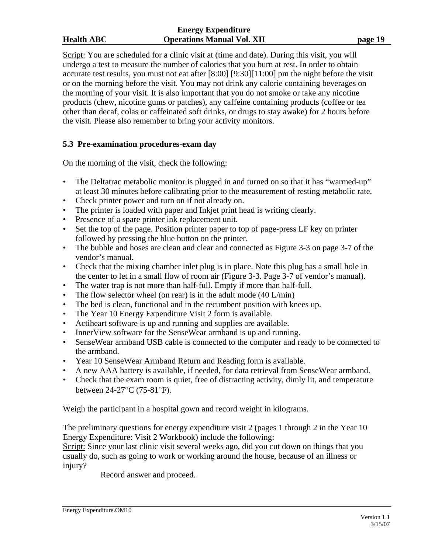#### **Energy Expenditure Health ABC Operations Manual Vol. XII page 19**

Script: You are scheduled for a clinic visit at (time and date). During this visit, you will undergo a test to measure the number of calories that you burn at rest. In order to obtain accurate test results, you must not eat after [8:00] [9:30][11:00] pm the night before the visit or on the morning before the visit. You may not drink any calorie containing beverages on the morning of your visit. It is also important that you do not smoke or take any nicotine products (chew, nicotine gums or patches), any caffeine containing products (coffee or tea other than decaf, colas or caffeinated soft drinks, or drugs to stay awake) for 2 hours before the visit. Please also remember to bring your activity monitors.

## **5.3 Pre-examination procedures-exam day**

On the morning of the visit, check the following:

- The Deltatrac metabolic monitor is plugged in and turned on so that it has "warmed-up" at least 30 minutes before calibrating prior to the measurement of resting metabolic rate.
- Check printer power and turn on if not already on.
- The printer is loaded with paper and Inkjet print head is writing clearly.
- Presence of a spare printer ink replacement unit.
- Set the top of the page. Position printer paper to top of page-press LF key on printer followed by pressing the blue button on the printer.
- The bubble and hoses are clean and clear and connected as Figure 3-3 on page 3-7 of the vendor's manual.
- Check that the mixing chamber inlet plug is in place. Note this plug has a small hole in the center to let in a small flow of room air (Figure 3-3. Page 3-7 of vendor's manual).
- The water trap is not more than half-full. Empty if more than half-full.
- The flow selector wheel (on rear) is in the adult mode  $(40 \text{ L/min})$
- The bed is clean, functional and in the recumbent position with knees up.
- The Year 10 Energy Expenditure Visit 2 form is available.
- Actiheart software is up and running and supplies are available.
- InnerView software for the SenseWear armband is up and running.
- SenseWear armband USB cable is connected to the computer and ready to be connected to the armband.
- Year 10 SenseWear Armband Return and Reading form is available.
- A new AAA battery is available, if needed, for data retrieval from SenseWear armband.
- Check that the exam room is quiet, free of distracting activity, dimly lit, and temperature between 24-27°C (75-81°F).

Weigh the participant in a hospital gown and record weight in kilograms.

The preliminary questions for energy expenditure visit 2 (pages 1 through 2 in the Year 10 Energy Expenditure: Visit 2 Workbook) include the following:

Script: Since your last clinic visit several weeks ago, did you cut down on things that you usually do, such as going to work or working around the house, because of an illness or injury?

Record answer and proceed.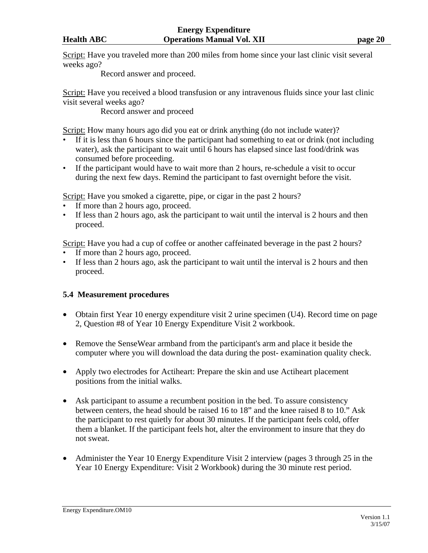Script: Have you traveled more than 200 miles from home since your last clinic visit several weeks ago?

Record answer and proceed.

Script: Have you received a blood transfusion or any intravenous fluids since your last clinic visit several weeks ago?

Record answer and proceed

Script: How many hours ago did you eat or drink anything (do not include water)?

- If it is less than 6 hours since the participant had something to eat or drink (not including water), ask the participant to wait until 6 hours has elapsed since last food/drink was consumed before proceeding.
- If the participant would have to wait more than 2 hours, re-schedule a visit to occur during the next few days. Remind the participant to fast overnight before the visit.

Script: Have you smoked a cigarette, pipe, or cigar in the past 2 hours?

- If more than 2 hours ago, proceed.
- If less than 2 hours ago, ask the participant to wait until the interval is 2 hours and then proceed.

Script: Have you had a cup of coffee or another caffeinated beverage in the past 2 hours?

- If more than 2 hours ago, proceed.
- If less than 2 hours ago, ask the participant to wait until the interval is 2 hours and then proceed.

# **5.4 Measurement procedures**

- Obtain first Year 10 energy expenditure visit 2 urine specimen (U4). Record time on page 2, Question #8 of Year 10 Energy Expenditure Visit 2 workbook.
- Remove the SenseWear armband from the participant's arm and place it beside the computer where you will download the data during the post- examination quality check.
- Apply two electrodes for Actiheart: Prepare the skin and use Actiheart placement positions from the initial walks.
- Ask participant to assume a recumbent position in the bed. To assure consistency between centers, the head should be raised 16 to 18" and the knee raised 8 to 10." Ask the participant to rest quietly for about 30 minutes. If the participant feels cold, offer them a blanket. If the participant feels hot, alter the environment to insure that they do not sweat.
- Administer the Year 10 Energy Expenditure Visit 2 interview (pages 3 through 25 in the Year 10 Energy Expenditure: Visit 2 Workbook) during the 30 minute rest period.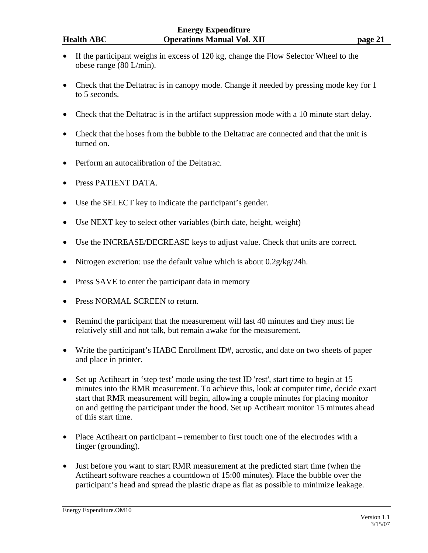- If the participant weighs in excess of 120 kg, change the Flow Selector Wheel to the obese range (80 L/min).
- Check that the Deltatrac is in canopy mode. Change if needed by pressing mode key for 1 to 5 seconds.
- Check that the Deltatrac is in the artifact suppression mode with a 10 minute start delay.
- Check that the hoses from the bubble to the Deltatrac are connected and that the unit is turned on.
- Perform an autocalibration of the Deltatrac.
- Press PATIENT DATA.
- Use the SELECT key to indicate the participant's gender.
- Use NEXT key to select other variables (birth date, height, weight)
- Use the INCREASE/DECREASE keys to adjust value. Check that units are correct.
- Nitrogen excretion: use the default value which is about  $0.2g/kg/24h$ .
- Press SAVE to enter the participant data in memory
- Press NORMAL SCREEN to return.
- Remind the participant that the measurement will last 40 minutes and they must lie relatively still and not talk, but remain awake for the measurement.
- Write the participant's HABC Enrollment ID#, acrostic, and date on two sheets of paper and place in printer.
- Set up Actiheart in 'step test' mode using the test ID 'rest', start time to begin at 15 minutes into the RMR measurement. To achieve this, look at computer time, decide exact start that RMR measurement will begin, allowing a couple minutes for placing monitor on and getting the participant under the hood. Set up Actiheart monitor 15 minutes ahead of this start time.
- Place Actibeart on participant remember to first touch one of the electrodes with a finger (grounding).
- Just before you want to start RMR measurement at the predicted start time (when the Actiheart software reaches a countdown of 15:00 minutes). Place the bubble over the participant's head and spread the plastic drape as flat as possible to minimize leakage.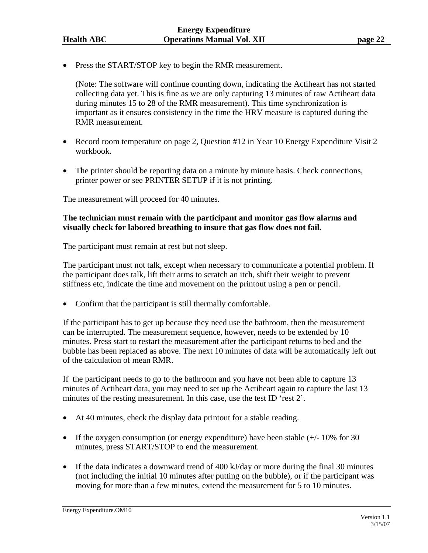• Press the START/STOP key to begin the RMR measurement.

 (Note: The software will continue counting down, indicating the Actiheart has not started collecting data yet. This is fine as we are only capturing 13 minutes of raw Actiheart data during minutes 15 to 28 of the RMR measurement). This time synchronization is important as it ensures consistency in the time the HRV measure is captured during the RMR measurement.

- Record room temperature on page 2, Question #12 in Year 10 Energy Expenditure Visit 2 workbook.
- The printer should be reporting data on a minute by minute basis. Check connections, printer power or see PRINTER SETUP if it is not printing.

The measurement will proceed for 40 minutes.

## **The technician must remain with the participant and monitor gas flow alarms and visually check for labored breathing to insure that gas flow does not fail.**

The participant must remain at rest but not sleep.

The participant must not talk, except when necessary to communicate a potential problem. If the participant does talk, lift their arms to scratch an itch, shift their weight to prevent stiffness etc, indicate the time and movement on the printout using a pen or pencil.

• Confirm that the participant is still thermally comfortable.

If the participant has to get up because they need use the bathroom, then the measurement can be interrupted. The measurement sequence, however, needs to be extended by 10 minutes. Press start to restart the measurement after the participant returns to bed and the bubble has been replaced as above. The next 10 minutes of data will be automatically left out of the calculation of mean RMR.

If the participant needs to go to the bathroom and you have not been able to capture 13 minutes of Actiheart data, you may need to set up the Actiheart again to capture the last 13 minutes of the resting measurement. In this case, use the test ID 'rest 2'.

- At 40 minutes, check the display data printout for a stable reading.
- If the oxygen consumption (or energy expenditure) have been stable (+/- 10% for 30 minutes, press START/STOP to end the measurement.
- If the data indicates a downward trend of 400 kJ/day or more during the final 30 minutes (not including the initial 10 minutes after putting on the bubble), or if the participant was moving for more than a few minutes, extend the measurement for 5 to 10 minutes.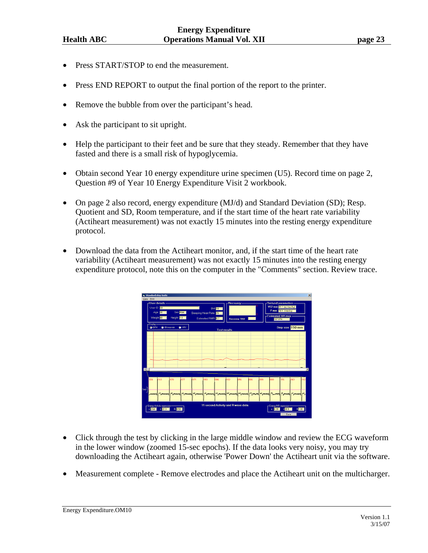- Press START/STOP to end the measurement.
- Press END REPORT to output the final portion of the report to the printer.
- Remove the bubble from over the participant's head.
- Ask the participant to sit upright.
- Help the participant to their feet and be sure that they steady. Remember that they have fasted and there is a small risk of hypoglycemia.
- Obtain second Year 10 energy expenditure urine specimen (U5). Record time on page 2, Question #9 of Year 10 Energy Expenditure Visit 2 workbook.
- On page 2 also record, energy expenditure (MJ/d) and Standard Deviation (SD); Resp. Quotient and SD, Room temperature, and if the start time of the heart rate variability (Actiheart measurement) was not exactly 15 minutes into the resting energy expenditure protocol.
- Download the data from the Actiheart monitor, and, if the start time of the heart rate variability (Actiheart measurement) was not exactly 15 minutes into the resting energy expenditure protocol, note this on the computer in the "Comments" section. Review trace.



- Click through the test by clicking in the large middle window and review the ECG waveform in the lower window (zoomed 15-sec epochs). If the data looks very noisy, you may try downloading the Actiheart again, otherwise 'Power Down' the Actiheart unit via the software.
- Measurement complete Remove electrodes and place the Actiheart unit on the multicharger.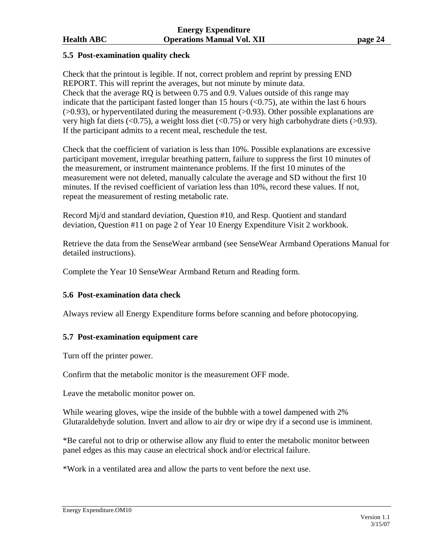## **5.5 Post-examination quality check**

Check that the printout is legible. If not, correct problem and reprint by pressing END REPORT. This will reprint the averages, but not minute by minute data. Check that the average RQ is between 0.75 and 0.9. Values outside of this range may indicate that the participant fasted longer than 15 hours  $( $0.75$ ), ate within the last 6 hours$  $(0.93)$ , or hyperventilated during the measurement  $(0.93)$ . Other possible explanations are very high fat diets ( $\langle 0.75 \rangle$ , a weight loss diet ( $\langle 0.75 \rangle$  or very high carbohydrate diets ( $> 0.93$ ). If the participant admits to a recent meal, reschedule the test.

Check that the coefficient of variation is less than 10%. Possible explanations are excessive participant movement, irregular breathing pattern, failure to suppress the first 10 minutes of the measurement, or instrument maintenance problems. If the first 10 minutes of the measurement were not deleted, manually calculate the average and SD without the first 10 minutes. If the revised coefficient of variation less than 10%, record these values. If not, repeat the measurement of resting metabolic rate.

Record Mj/d and standard deviation, Question #10, and Resp. Quotient and standard deviation, Question #11 on page 2 of Year 10 Energy Expenditure Visit 2 workbook.

Retrieve the data from the SenseWear armband (see SenseWear Armband Operations Manual for detailed instructions).

Complete the Year 10 SenseWear Armband Return and Reading form.

## **5.6 Post-examination data check**

Always review all Energy Expenditure forms before scanning and before photocopying.

### **5.7 Post-examination equipment care**

Turn off the printer power.

Confirm that the metabolic monitor is the measurement OFF mode.

Leave the metabolic monitor power on.

While wearing gloves, wipe the inside of the bubble with a towel dampened with 2% Glutaraldehyde solution. Invert and allow to air dry or wipe dry if a second use is imminent.

\*Be careful not to drip or otherwise allow any fluid to enter the metabolic monitor between panel edges as this may cause an electrical shock and/or electrical failure.

\*Work in a ventilated area and allow the parts to vent before the next use.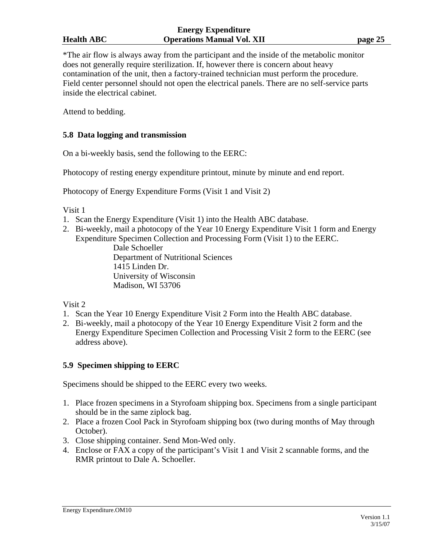\*The air flow is always away from the participant and the inside of the metabolic monitor does not generally require sterilization. If, however there is concern about heavy contamination of the unit, then a factory-trained technician must perform the procedure. Field center personnel should not open the electrical panels. There are no self-service parts inside the electrical cabinet.

Attend to bedding.

## **5.8 Data logging and transmission**

On a bi-weekly basis, send the following to the EERC:

Photocopy of resting energy expenditure printout, minute by minute and end report.

Photocopy of Energy Expenditure Forms (Visit 1 and Visit 2)

Visit 1

- 1. Scan the Energy Expenditure (Visit 1) into the Health ABC database.
- 2. Bi-weekly, mail a photocopy of the Year 10 Energy Expenditure Visit 1 form and Energy Expenditure Specimen Collection and Processing Form (Visit 1) to the EERC.

 Dale Schoeller Department of Nutritional Sciences 1415 Linden Dr. University of Wisconsin Madison, WI 53706

Visit 2

- 1. Scan the Year 10 Energy Expenditure Visit 2 Form into the Health ABC database.
- 2. Bi-weekly, mail a photocopy of the Year 10 Energy Expenditure Visit 2 form and the Energy Expenditure Specimen Collection and Processing Visit 2 form to the EERC (see address above).

## **5.9 Specimen shipping to EERC**

Specimens should be shipped to the EERC every two weeks.

- 1. Place frozen specimens in a Styrofoam shipping box. Specimens from a single participant should be in the same ziplock bag.
- 2. Place a frozen Cool Pack in Styrofoam shipping box (two during months of May through October).
- 3. Close shipping container. Send Mon-Wed only.
- 4. Enclose or FAX a copy of the participant's Visit 1 and Visit 2 scannable forms, and the RMR printout to Dale A. Schoeller.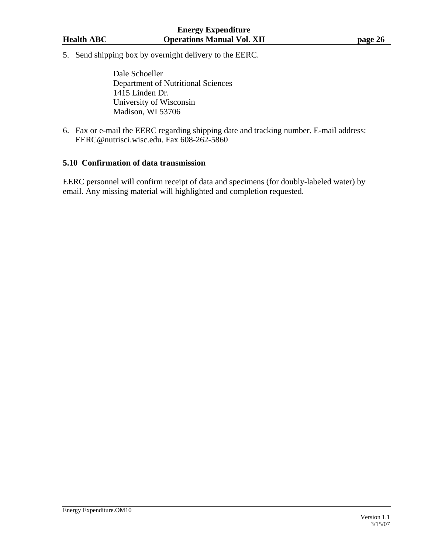5. Send shipping box by overnight delivery to the EERC.

 Dale Schoeller Department of Nutritional Sciences 1415 Linden Dr. University of Wisconsin Madison, WI 53706

6. Fax or e-mail the EERC regarding shipping date and tracking number. E-mail address: EERC@nutrisci.wisc.edu. Fax 608-262-5860

### **5.10 Confirmation of data transmission**

EERC personnel will confirm receipt of data and specimens (for doubly-labeled water) by email. Any missing material will highlighted and completion requested.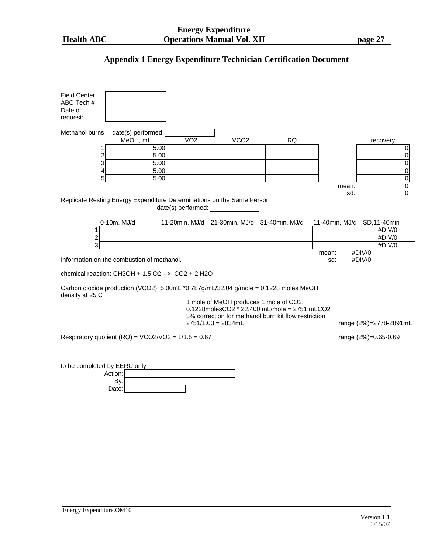# **Appendix 1 Energy Expenditure Technician Certification Document**

| <b>Field Center</b>          |                                                                                      |                    |                                              |                                                      |                             |                        |
|------------------------------|--------------------------------------------------------------------------------------|--------------------|----------------------------------------------|------------------------------------------------------|-----------------------------|------------------------|
| ABC Tech #                   |                                                                                      |                    |                                              |                                                      |                             |                        |
| Date of                      |                                                                                      |                    |                                              |                                                      |                             |                        |
| request:                     |                                                                                      |                    |                                              |                                                      |                             |                        |
| Methanol burns               | date(s) performed:                                                                   |                    |                                              |                                                      |                             |                        |
|                              | MeOH, mL                                                                             | $\overline{VO2}$   | VCO <sub>2</sub>                             | <b>RQ</b>                                            |                             | recovery               |
| 1                            | 5.00                                                                                 |                    |                                              |                                                      |                             | 0                      |
| 2                            | 5.00                                                                                 |                    |                                              |                                                      |                             | $\overline{0}$         |
| 3                            | 5.00                                                                                 |                    |                                              |                                                      |                             | $\overline{0}$         |
| 4                            | 5.00                                                                                 |                    |                                              |                                                      |                             | $\overline{0}$         |
| 5                            | 5.00                                                                                 |                    |                                              |                                                      |                             | $\overline{0}$         |
|                              |                                                                                      |                    |                                              |                                                      | mean:                       | $\overline{0}$         |
|                              |                                                                                      |                    |                                              |                                                      | sd:                         | $\mathbf 0$            |
|                              | Replicate Resting Energy Expenditure Determinations on the Same Person               |                    |                                              |                                                      |                             |                        |
|                              |                                                                                      | date(s) performed: |                                              |                                                      |                             |                        |
|                              |                                                                                      |                    |                                              |                                                      |                             |                        |
|                              | 0-10m, MJ/d                                                                          |                    | 11-20min, MJ/d 21-30min, MJ/d 31-40min, MJ/d |                                                      | 11-40min, MJ/d SD, 11-40min |                        |
| 1                            |                                                                                      |                    |                                              |                                                      |                             | #DIV/0!                |
| $\overline{\mathbf{c}}$      |                                                                                      |                    |                                              |                                                      |                             | #DIV/0!                |
| 3                            |                                                                                      |                    |                                              |                                                      |                             | #DIV/0!                |
|                              |                                                                                      |                    |                                              |                                                      | mean:                       | #DIV/0!                |
|                              | Information on the combustion of methanol.                                           |                    |                                              |                                                      | sd:                         | #DIV/0!                |
|                              |                                                                                      |                    |                                              |                                                      |                             |                        |
|                              | chemical reaction: $CH3OH + 1.5$ O2 --> $CO2 + 2$ H2O                                |                    |                                              |                                                      |                             |                        |
|                              | Carbon dioxide production (VCO2): 5.00mL *0.787g/mL/32.04 g/mole = 0.1228 moles MeOH |                    |                                              |                                                      |                             |                        |
| density at 25 C              |                                                                                      |                    | 1 mole of MeOH produces 1 mole of CO2.       |                                                      |                             |                        |
|                              |                                                                                      |                    |                                              | 0.1228molesCO2 * 22,400 mL/mole = 2751 mLCO2         |                             |                        |
|                              |                                                                                      |                    |                                              | 3% correction for methanol burn kit flow restriction |                             |                        |
|                              |                                                                                      |                    | $2751/1.03 = 2834mL$                         |                                                      |                             | range (2%)=2778-2891mL |
|                              |                                                                                      |                    |                                              |                                                      |                             |                        |
|                              | Respiratory quotient (RQ) = $VCO2/VO2 = 1/1.5 = 0.67$                                |                    |                                              |                                                      |                             | range (2%)=0.65-0.69   |
|                              |                                                                                      |                    |                                              |                                                      |                             |                        |
|                              |                                                                                      |                    |                                              |                                                      |                             |                        |
|                              |                                                                                      |                    |                                              |                                                      |                             |                        |
| to be completed by EERC only |                                                                                      |                    |                                              |                                                      |                             |                        |
|                              | Action:                                                                              |                    |                                              |                                                      |                             |                        |
|                              | By:                                                                                  |                    |                                              |                                                      |                             |                        |
|                              | Date:                                                                                |                    |                                              |                                                      |                             |                        |
|                              |                                                                                      |                    |                                              |                                                      |                             |                        |
|                              |                                                                                      |                    |                                              |                                                      |                             |                        |
|                              |                                                                                      |                    |                                              |                                                      |                             |                        |
|                              |                                                                                      |                    |                                              |                                                      |                             |                        |
|                              |                                                                                      |                    |                                              |                                                      |                             |                        |
|                              |                                                                                      |                    |                                              |                                                      |                             |                        |
|                              |                                                                                      |                    |                                              |                                                      |                             |                        |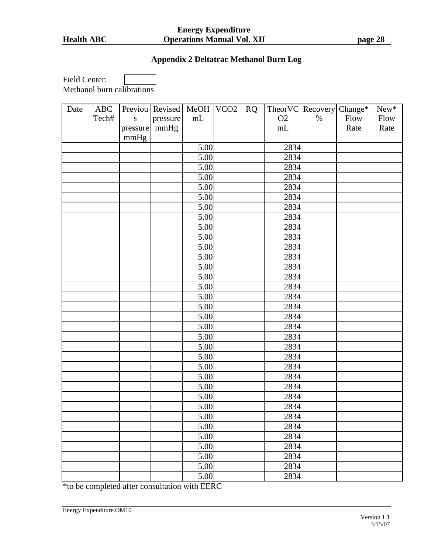#### **Energy Expenditure Health ABC Operations Manual Vol. XII page 28**

# **Appendix 2 Deltatrac Methanol Burn Log**

Field Center: Methanol burn calibrations

| Date | ABC   |           | Previou   Revised   MeOH   VCO2 |      | RQ |          | TheorVC Recovery Change* |      | $New*$ |
|------|-------|-----------|---------------------------------|------|----|----------|--------------------------|------|--------|
|      | Tech# | ${\bf S}$ | pressure                        | mL   |    | O2       | $\%$                     | Flow | Flow   |
|      |       | pressure  | mmHg                            |      |    | $\rm mL$ |                          | Rate | Rate   |
|      |       | mmHg      |                                 |      |    |          |                          |      |        |
|      |       |           |                                 | 5.00 |    | 2834     |                          |      |        |
|      |       |           |                                 | 5.00 |    | 2834     |                          |      |        |
|      |       |           |                                 | 5.00 |    | 2834     |                          |      |        |
|      |       |           |                                 | 5.00 |    | 2834     |                          |      |        |
|      |       |           |                                 | 5.00 |    | 2834     |                          |      |        |
|      |       |           |                                 | 5.00 |    | 2834     |                          |      |        |
|      |       |           |                                 | 5.00 |    | 2834     |                          |      |        |
|      |       |           |                                 | 5.00 |    | 2834     |                          |      |        |
|      |       |           |                                 | 5.00 |    | 2834     |                          |      |        |
|      |       |           |                                 | 5.00 |    | 2834     |                          |      |        |
|      |       |           |                                 | 5.00 |    | 2834     |                          |      |        |
|      |       |           |                                 | 5.00 |    | 2834     |                          |      |        |
|      |       |           |                                 | 5.00 |    | 2834     |                          |      |        |
|      |       |           |                                 | 5.00 |    | 2834     |                          |      |        |
|      |       |           |                                 | 5.00 |    | 2834     |                          |      |        |
|      |       |           |                                 | 5.00 |    | 2834     |                          |      |        |
|      |       |           |                                 | 5.00 |    | 2834     |                          |      |        |
|      |       |           |                                 | 5.00 |    | 2834     |                          |      |        |
|      |       |           |                                 | 5.00 |    | 2834     |                          |      |        |
|      |       |           |                                 | 5.00 |    | 2834     |                          |      |        |
|      |       |           |                                 | 5.00 |    | 2834     |                          |      |        |
|      |       |           |                                 | 5.00 |    | 2834     |                          |      |        |
|      |       |           |                                 | 5.00 |    | 2834     |                          |      |        |
|      |       |           |                                 | 5.00 |    | 2834     |                          |      |        |
|      |       |           |                                 | 5.00 |    | 2834     |                          |      |        |
|      |       |           |                                 | 5.00 |    | 2834     |                          |      |        |
|      |       |           |                                 | 5.00 |    | 2834     |                          |      |        |
|      |       |           |                                 | 5.00 |    | 2834     |                          |      |        |
|      |       |           |                                 | 5.00 |    | 2834     |                          |      |        |
|      |       |           |                                 | 5.00 |    | 2834     |                          |      |        |
|      |       |           |                                 | 5.00 |    | 2834     |                          |      |        |
|      |       |           |                                 | 5.00 |    | 2834     |                          |      |        |
|      |       |           |                                 | 5.00 |    | 2834     |                          |      |        |
|      |       |           |                                 | 5.00 |    | 2834     |                          |      |        |

\*to be completed after consultation with EERC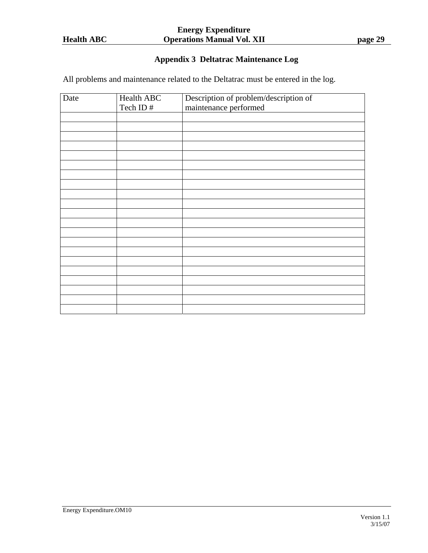# **Appendix 3 Deltatrac Maintenance Log**

All problems and maintenance related to the Deltatrac must be entered in the log.

| Date | <b>Health ABC</b> | Description of problem/description of |
|------|-------------------|---------------------------------------|
|      | Tech ID#          | maintenance performed                 |
|      |                   |                                       |
|      |                   |                                       |
|      |                   |                                       |
|      |                   |                                       |
|      |                   |                                       |
|      |                   |                                       |
|      |                   |                                       |
|      |                   |                                       |
|      |                   |                                       |
|      |                   |                                       |
|      |                   |                                       |
|      |                   |                                       |
|      |                   |                                       |
|      |                   |                                       |
|      |                   |                                       |
|      |                   |                                       |
|      |                   |                                       |
|      |                   |                                       |
|      |                   |                                       |
|      |                   |                                       |
|      |                   |                                       |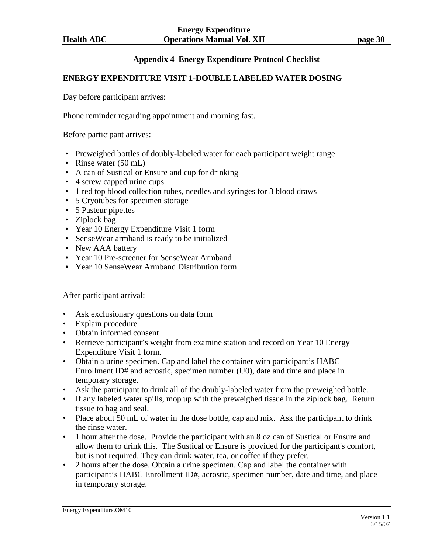# **Appendix 4 Energy Expenditure Protocol Checklist**

## **ENERGY EXPENDITURE VISIT 1-DOUBLE LABELED WATER DOSING**

Day before participant arrives:

Phone reminder regarding appointment and morning fast.

Before participant arrives:

- Preweighed bottles of doubly-labeled water for each participant weight range.
- Rinse water (50 mL)
- A can of Sustical or Ensure and cup for drinking
- 4 screw capped urine cups
- 1 red top blood collection tubes, needles and syringes for 3 blood draws
- 5 Cryotubes for specimen storage
- 5 Pasteur pipettes
- Ziplock bag.
- Year 10 Energy Expenditure Visit 1 form
- SenseWear armband is ready to be initialized
- **•** New AAA battery
- **•** Year 10 Pre-screener for SenseWear Armband
- **•** Year 10 SenseWear Armband Distribution form

After participant arrival:

- Ask exclusionary questions on data form
- Explain procedure
- Obtain informed consent
- Retrieve participant's weight from examine station and record on Year 10 Energy Expenditure Visit 1 form.
- Obtain a urine specimen. Cap and label the container with participant's HABC Enrollment ID# and acrostic, specimen number (U0), date and time and place in temporary storage.
- Ask the participant to drink all of the doubly-labeled water from the preweighed bottle.
- If any labeled water spills, mop up with the preweighed tissue in the ziplock bag. Return tissue to bag and seal.
- Place about 50 mL of water in the dose bottle, cap and mix. Ask the participant to drink the rinse water.
- 1 hour after the dose. Provide the participant with an 8 oz can of Sustical or Ensure and allow them to drink this. The Sustical or Ensure is provided for the participant's comfort, but is not required. They can drink water, tea, or coffee if they prefer.
- 2 hours after the dose. Obtain a urine specimen. Cap and label the container with participant's HABC Enrollment ID#, acrostic, specimen number, date and time, and place in temporary storage.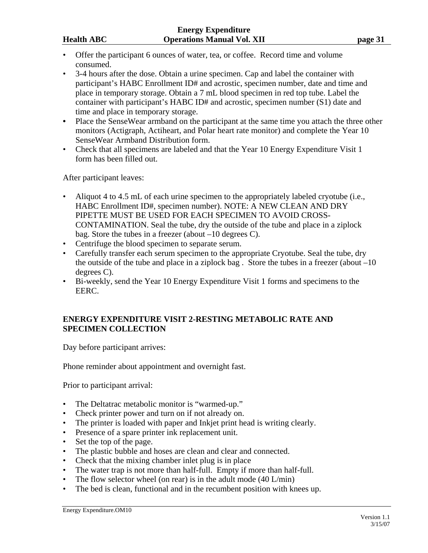- Offer the participant 6 ounces of water, tea, or coffee. Record time and volume consumed.
- 3-4 hours after the dose. Obtain a urine specimen. Cap and label the container with participant's HABC Enrollment ID# and acrostic, specimen number, date and time and place in temporary storage. Obtain a 7 mL blood specimen in red top tube. Label the container with participant's HABC ID# and acrostic, specimen number (S1) date and time and place in temporary storage.
- **•** Place the SenseWear armband on the participant at the same time you attach the three other monitors (Actigraph, Actiheart, and Polar heart rate monitor) and complete the Year 10 SenseWear Armband Distribution form.
- Check that all specimens are labeled and that the Year 10 Energy Expenditure Visit 1 form has been filled out.

After participant leaves:

- Aliquot 4 to 4.5 mL of each urine specimen to the appropriately labeled cryotube (i.e., HABC Enrollment ID#, specimen number). NOTE: A NEW CLEAN AND DRY PIPETTE MUST BE USED FOR EACH SPECIMEN TO AVOID CROSS-CONTAMINATION. Seal the tube, dry the outside of the tube and place in a ziplock bag. Store the tubes in a freezer (about –10 degrees C).
- Centrifuge the blood specimen to separate serum.
- Carefully transfer each serum specimen to the appropriate Cryotube. Seal the tube, dry the outside of the tube and place in a ziplock bag. Store the tubes in a freezer (about  $-10$ ) degrees C).
- Bi-weekly, send the Year 10 Energy Expenditure Visit 1 forms and specimens to the EERC.

## **ENERGY EXPENDITURE VISIT 2-RESTING METABOLIC RATE AND SPECIMEN COLLECTION**

Day before participant arrives:

Phone reminder about appointment and overnight fast.

Prior to participant arrival:

- The Deltatrac metabolic monitor is "warmed-up."
- Check printer power and turn on if not already on.
- The printer is loaded with paper and Inkjet print head is writing clearly.
- Presence of a spare printer ink replacement unit.
- Set the top of the page.
- The plastic bubble and hoses are clean and clear and connected.
- Check that the mixing chamber inlet plug is in place
- The water trap is not more than half-full. Empty if more than half-full.
- The flow selector wheel (on rear) is in the adult mode (40 L/min)
- The bed is clean, functional and in the recumbent position with knees up.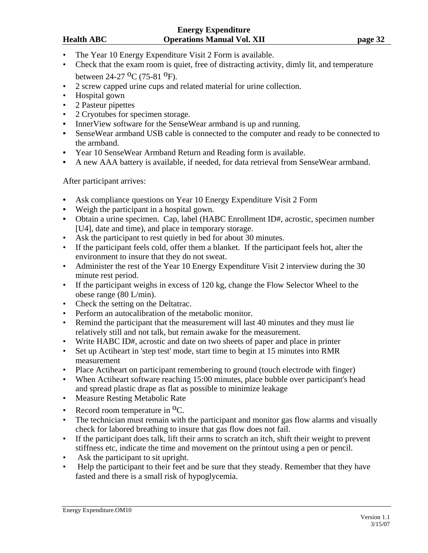### **Energy Expenditure Health ABC Operations Manual Vol. XII page 32 page 32**

- The Year 10 Energy Expenditure Visit 2 Form is available.
- Check that the exam room is quiet, free of distracting activity, dimly lit, and temperature between  $24-27$  <sup>O</sup>C (75-81 <sup>O</sup>F).
- 2 screw capped urine cups and related material for urine collection.
- Hospital gown
- 2 Pasteur pipettes
- 2 Cryotubes for specimen storage.
- **•** InnerView software for the SenseWear armband is up and running.
- **•** SenseWear armband USB cable is connected to the computer and ready to be connected to the armband.
- **•** Year 10 SenseWear Armband Return and Reading form is available.
- **•** A new AAA battery is available, if needed, for data retrieval from SenseWear armband.

After participant arrives:

- **•** Ask compliance questions on Year 10 Energy Expenditure Visit 2 Form
- **•** Weigh the participant in a hospital gown.
- Obtain a urine specimen. Cap, label (HABC Enrollment ID#, acrostic, specimen number [U4], date and time), and place in temporary storage.
- Ask the participant to rest quietly in bed for about 30 minutes.
- If the participant feels cold, offer them a blanket. If the participant feels hot, alter the environment to insure that they do not sweat.
- Administer the rest of the Year 10 Energy Expenditure Visit 2 interview during the 30 minute rest period.
- If the participant weighs in excess of 120 kg, change the Flow Selector Wheel to the obese range (80 L/min).
- Check the setting on the Deltatrac.
- Perform an autocalibration of the metabolic monitor.
- Remind the participant that the measurement will last 40 minutes and they must lie relatively still and not talk, but remain awake for the measurement.
- Write HABC ID#, acrostic and date on two sheets of paper and place in printer
- Set up Actiheart in 'step test' mode, start time to begin at 15 minutes into RMR measurement
- Place Actiheart on participant remembering to ground (touch electrode with finger)
- When Actiheart software reaching 15:00 minutes, place bubble over participant's head and spread plastic drape as flat as possible to minimize leakage
- Measure Resting Metabolic Rate
- Record room temperature in  ${}^{0}C$ .
- The technician must remain with the participant and monitor gas flow alarms and visually check for labored breathing to insure that gas flow does not fail.
- If the participant does talk, lift their arms to scratch an itch, shift their weight to prevent stiffness etc, indicate the time and movement on the printout using a pen or pencil.
- Ask the participant to sit upright.
- Help the participant to their feet and be sure that they steady. Remember that they have fasted and there is a small risk of hypoglycemia.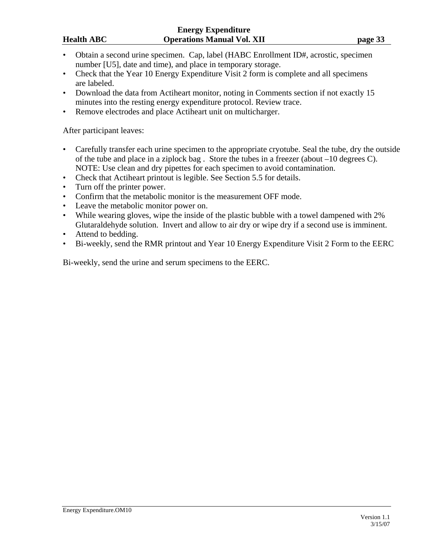- Obtain a second urine specimen. Cap, label (HABC Enrollment ID#, acrostic, specimen number [U5], date and time), and place in temporary storage.
- Check that the Year 10 Energy Expenditure Visit 2 form is complete and all specimens are labeled.
- Download the data from Actiheart monitor, noting in Comments section if not exactly 15 minutes into the resting energy expenditure protocol. Review trace.
- Remove electrodes and place Actiheart unit on multicharger.

## After participant leaves:

- Carefully transfer each urine specimen to the appropriate cryotube. Seal the tube, dry the outside of the tube and place in a ziplock bag . Store the tubes in a freezer (about –10 degrees C). NOTE: Use clean and dry pipettes for each specimen to avoid contamination.
- Check that Actiheart printout is legible. See Section 5.5 for details.
- Turn off the printer power.
- Confirm that the metabolic monitor is the measurement OFF mode.
- Leave the metabolic monitor power on.
- While wearing gloves, wipe the inside of the plastic bubble with a towel dampened with 2% Glutaraldehyde solution. Invert and allow to air dry or wipe dry if a second use is imminent.
- Attend to bedding.
- Bi-weekly, send the RMR printout and Year 10 Energy Expenditure Visit 2 Form to the EERC

Bi-weekly, send the urine and serum specimens to the EERC.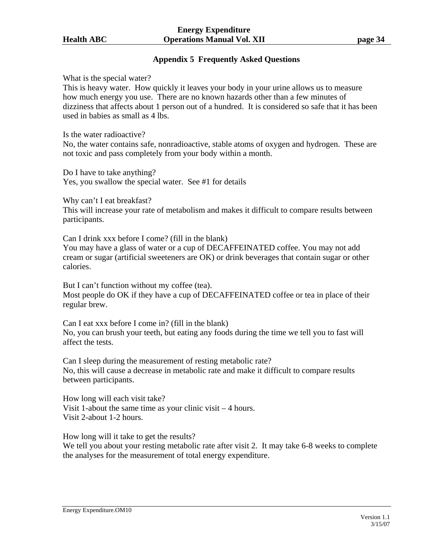## **Appendix 5 Frequently Asked Questions**

What is the special water?

This is heavy water. How quickly it leaves your body in your urine allows us to measure how much energy you use. There are no known hazards other than a few minutes of dizziness that affects about 1 person out of a hundred. It is considered so safe that it has been used in babies as small as 4 lbs.

Is the water radioactive?

No, the water contains safe, nonradioactive, stable atoms of oxygen and hydrogen. These are not toxic and pass completely from your body within a month.

Do I have to take anything? Yes, you swallow the special water. See #1 for details

Why can't I eat breakfast?

This will increase your rate of metabolism and makes it difficult to compare results between participants.

Can I drink xxx before I come? (fill in the blank) You may have a glass of water or a cup of DECAFFEINATED coffee. You may not add cream or sugar (artificial sweeteners are OK) or drink beverages that contain sugar or other calories.

But I can't function without my coffee (tea). Most people do OK if they have a cup of DECAFFEINATED coffee or tea in place of their regular brew.

Can I eat xxx before I come in? (fill in the blank) No, you can brush your teeth, but eating any foods during the time we tell you to fast will affect the tests.

Can I sleep during the measurement of resting metabolic rate? No, this will cause a decrease in metabolic rate and make it difficult to compare results between participants.

How long will each visit take? Visit 1-about the same time as your clinic visit – 4 hours. Visit 2-about 1-2 hours.

How long will it take to get the results?

We tell you about your resting metabolic rate after visit 2. It may take 6-8 weeks to complete the analyses for the measurement of total energy expenditure.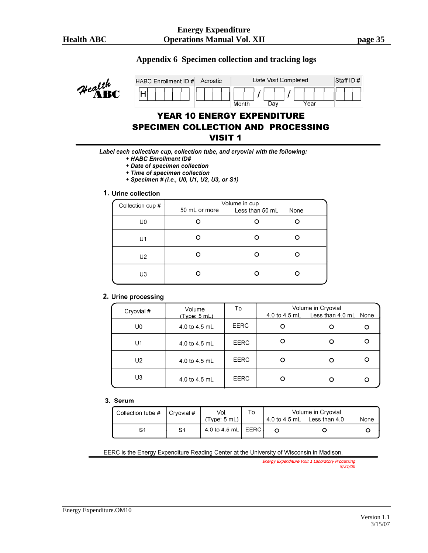### **Appendix 6 Specimen collection and tracking logs**



# **YEAR 10 ENERGY EXPENDITURE SPECIMEN COLLECTION AND PROCESSING VISIT 1**

Label each collection cup, collection tube, and cryovial with the following:

- + HABC Enrollment ID#
- \* Date of specimen collection
- + Time of specimen collection
- \* Specimen # (i.e., U0, U1, U2, U3, or S1)

#### 1. Urine collection

| Collection cup # | 50 mL or more | Volume in cup<br>Less than 50 mL | None |
|------------------|---------------|----------------------------------|------|
| U0               |               |                                  |      |
| U1               |               |                                  |      |
| U <sub>2</sub>   |               |                                  |      |
| U3               |               |                                  |      |

#### 2. Urine processing

| Cryovial # | Volume<br>(Type: 5 mL) | To          | Volume in Cryovial<br>4.0 to 4.5 mL Less than 4.0 mL None |  |
|------------|------------------------|-------------|-----------------------------------------------------------|--|
| U0         | 4.0 to 4.5 mL          | <b>EERC</b> |                                                           |  |
| U1         | 4.0 to 4.5 mL          | <b>EERC</b> |                                                           |  |
| U2         | 4.0 to 4.5 mL          | <b>EERC</b> |                                                           |  |
| U3         | 4.0 to 4.5 mL          | EERC        |                                                           |  |

#### 3. Serum

| Collection tube # | l Crvovial # | Vol.<br>(Tvpe: 5 mL)        | ۱o | Volume in Cryovial<br>4.0 to 4.5 mL Less than 4.0 | None |
|-------------------|--------------|-----------------------------|----|---------------------------------------------------|------|
| S1                | S1           | 4.0 to 4.5 mL $\mid$ EERC i |    |                                                   |      |

EERC is the Energy Expenditure Reading Center at the University of Wisconsin in Madison.

Energy Expenditure Visit 1 Laboratory Processing  $9/21/06$